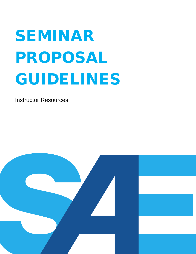# SEMINAR PROPOSAL GUIDELINES

Instructor Resources

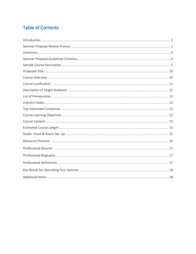## **Table of Contents**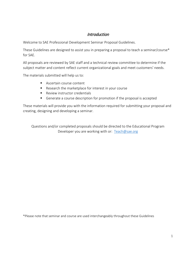## **Introduction**

Welcome to SAE Professional Development Seminar Proposal Guidelines.

These Guidelines are designed to assist you in preparing a proposal to teach a seminar/course\* for SAE.

All proposals are reviewed by SAE staff and a technical review committee to determine if the subject matter and content reflect current organizational goals and meet customers' needs.

The materials submitted will help us to:

- **Ascertain course content**
- Research the marketplace for interest in your course
- **Review instructor credentials**
- Generate a course description for promotion if the proposal is accepted

These materials will provide you with the information required for submitting your proposal and creating, designing and developing a seminar.

Questions and/or completed proposals should be directed to the Educational Program Developer you are working with or: [Teach@sae.org](mailto:Teach@sae.org)

\*Please note that seminar and course are used interchangeably throughout these Guidelines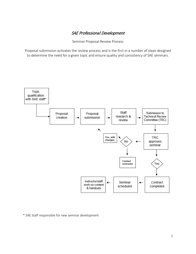## SAE Professional Development

Seminar Proposal Review Process

Proposal submission activates the review process and is the first in a number of steps designed to determine the need for a given topic and ensure quality and consistency of SAE seminars.



\* SAE Staff responsible for new seminar development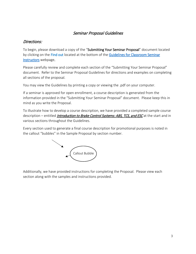## Directions:

To begin, please download a copy of the "Submitting Your Seminar Proposal" document located by clicking on the Find out located at the bottom of the Guidelines for Classroom Seminar [Instructors](https://www.sae.org/learn/professional-development/become-an-sae-instructor?tab=2) webpage.

Please carefully review and complete each section of the "Submitting Your Seminar Proposal" document. Refer to the Seminar Proposal Guidelines for directions and examples on completing all sections of the proposal.

You may view the Guidelines by printing a copy or viewing the .pdf on your computer.

If a seminar is approved for open enrollment, a course description is generated from the information provided in the "Submitting Your Seminar Proposal" document. Please keep this in mind as you write the Proposal.

To illustrate how to develop a course description, we have provided a completed sample course description – entitled *Introduction to Brake Control Systems: ABS, TCS, and ESC* at the start and in various sections throughout the Guidelines.

Every section used to generate a final course description for promotional purposes is noted in the callout "bubbles" in the Sample Proposal by section number.



Additionally, we have provided instructions for completing the Proposal. Please view each section along with the samples and instructions provided.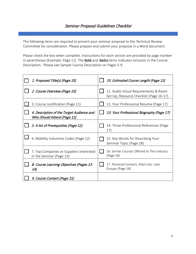## Seminar Proposal Guidelines Checklist

The following items are required to present your seminar proposal to the Technical Review Committee for consideration. Please prepare and submit your proposal in a Word document.

Please check the box when complete. Instructions for each section are provided by page number in parentheses (Example: Page 11). The **Bold** and *Italics* items indicates inclusion in the Course Description. Please see Sample Course Description on Pages 5-9.

| 1. Proposed Title(s) (Page 10)                                           | 10. Estimated Course Length (Page 15)                                           |
|--------------------------------------------------------------------------|---------------------------------------------------------------------------------|
| 2. Course Overview (Page 10)                                             | 11. Audio-Visual Requirements & Room<br>Set-Up; Resource Checklist (Page 16-17) |
| 3. Course Justification (Page 11)                                        | 12. Your Professional Resume (Page 17)                                          |
| 4. Description of the Target Audience and<br>Who Should Attend (Page 12) | 13. Your Professional Biography (Page 17)                                       |
| 5. A list of Prerequisites (Page 12)                                     | 14. Three Professional References (Page<br>17)                                  |
| 6. Mobility Industries Codes (Page 12)                                   | 15. Key Words for Describing Your<br>Seminar Topic (Page 18)                    |
| 7. Top Companies or Suppliers Interested<br>in the Seminar (Page 13)     | 16. Similar Courses Offered to This Industry<br>(Page 18)                       |
| 8. Course Learning Objectives (Pages 13-<br>14)                          | 17. Personal Contacts, Mail Lists, User<br>Groups (Page 18)                     |
| 9. Course Content (Page 15)                                              |                                                                                 |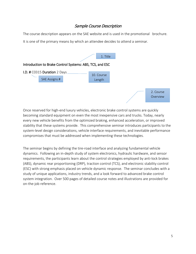## Sample Course Description

The course description appears on the SAE website and is used in the promotional brochure. It is one of the primary means by which an attendee decides to attend a seminar.



Once reserved for high-end luxury vehicles, electronic brake control systems are quickly becoming standard equipment on even the most inexpensive cars and trucks. Today, nearly every new vehicle benefits from the optimized braking, enhanced acceleration, or improved stability that these systems provide. This comprehensive seminar introduces participants to the system-level design considerations, vehicle interface requirements, and inevitable performance compromises that must be addressed when implementing these technologies.

The seminar begins by defining the tire-road interface and analyzing fundamental vehicle dynamics. Following an in-depth study of system electronics, hydraulic hardware, and sensor requirements, the participants learn about the control strategies employed by anti-lock brakes (ABS), dynamic rear proportioning (DRP), traction control (TCS), and electronic stability control (ESC) with strong emphasis placed on vehicle dynamic response. The seminar concludes with a study of unique applications, industry trends, and a look forward to advanced brake control system integration. Over 500 pages of detailed course notes and illustrations are provided for on-the-job reference.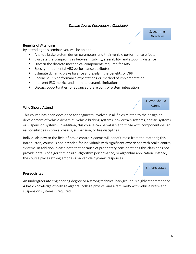8. Learning **Objectives** 

#### Benefits of Attending

By attending this seminar, you will be able to:

- Analyze brake system design parameters and their vehicle performance effects
- Evaluate the compromises between stability, steerability, and stopping distance
- **Discern the discrete mechanical components required for ABS**
- **Specify fundamental ABS performance attributes**
- Estimate dynamic brake balance and explain the benefits of DRP
- Reconcile TCS performance expectations vs. method of implementation
- Interpret ESC metrics and ultimate dynamic limitations
- Discuss opportunities for advanced brake control system integration

4. Who Should Attend

5. Prerequisites

#### Who Should Attend

This course has been developed for engineers involved in all fields related to the design or development of vehicle dynamics, vehicle braking systems, powertrain systems, chassis systems, or suspension systems. In addition, this course can be valuable to those with component design responsibilities in brake, chassis, suspension, or tire disciplines.

Individuals new to the field of brake control systems will benefit most from the material; this introductory course is not intended for individuals with significant experience with brake control systems. In addition, please note that because of proprietary considerations this class does not provide details of algorithm design, algorithm performance, or algorithm application. Instead, the course places strong emphasis on vehicle dynamic responses.

#### **Prerequisites**

An undergraduate engineering degree or a strong technical background is highly recommended. A basic knowledge of college algebra, college physics, and a familiarity with vehicle brake and suspension systems is required.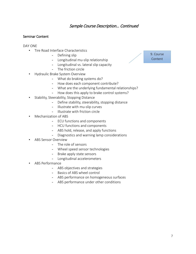#### Seminar Content

DAY ONE

- Tire Road Interface Characteristics
	- Defining slip
	- Longitudinal mu-slip relationship
	- Longitudinal vs. lateral slip capacity
	- The friction circle
- Hydraulic Brake System Overview
	- What do braking systems do?
	- How does each component contribute?
	- What are the underlying fundamental relationships?
	- How does this apply to brake control systems?
- Stability, Steerability, Stopping Distance
	- Define stability, steerability, stopping distance
	- Illustrate with mu-slip curves
	- Illustrate with friction circle
- Mechanization of ABS
	- ECU functions and components
	- HCU functions and components
	- ABS hold, release, and apply functions
	- Diagnostics and warning lamp considerations
- ABS Sensor Overview
	- The role of sensors
	- Wheel speed sensor technologies
	- Brake apply state sensors
	- Longitudinal accelerometers
- ABS Performance
	- ABS objectives and strategies
	- Basics of ABS wheel control
	- ABS performance on homogeneous surfaces
	- ABS performance under other conditions

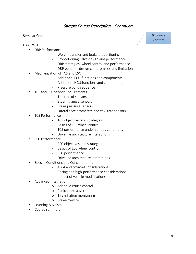#### Seminar Content

DAY TWO

- DRP Performance
	- Weight transfer and brake proportioning
	- Proportioning valve design and performance
	- DRP strategies, wheel control and performance
	- DRP benefits, design compromises and limitations
- Mechanization of TCS and ESC
	- Additional ECU functions and components
	- Additional HCU functions and components
	- Pressure build sequence
- TCS and ESC Sensor Requirements
	- The role of sensors
	- Steering angle sensors
	- Brake pressure sensors
	- Lateral accelerometers and yaw rate sensors
- TCS Performance
	- TCS objectives and strategies
	- Basics of TCS wheel control
	- TCS performance under various conditions
	- Driveline architecture interactions
- ESC Performance
	- ESC objectives and strategies
	- Basics of ESC wheel control
	- ESC performance
	- Driveline architecture interactions
- Special Conditions and Considerations
	- 4 X 4 and off-road considerations
	- Racing and high-performance considerations
	- Impact of vehicle modifications
- Advanced Integration
	- o Adaptive cruise control
	- o Panic brake assist
	- o Tire inflation monitoring
	- o Brake-by-wire
- Learning Assessment
- Course summary

9. Course Content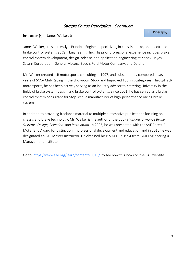#### Instructor (s): James Walker, Jr.

#### 13. Biography

James Walker, Jr. is currently a Principal Engineer specializing in chassis, brake, and electronic brake control systems at Carr Engineering, Inc. His prior professional experience includes brake control system development, design, release, and application engineering at Kelsey-Hayes, Saturn Corporation, General Motors, Bosch, Ford Motor Company, and Delphi.

Mr. Walker created scR motorsports consulting in 1997, and subsequently competed in seven years of SCCA Club Racing in the Showroom Stock and Improved Touring categories. Through scR motorsports, he has been actively serving as an industry advisor to Kettering University in the fields of brake system design and brake control systems. Since 2001, he has served as a brake control system consultant for StopTech, a manufacturer of high-performance racing brake systems.

In addition to providing freelance material to multiple automotive publications focusing on chassis and brake technology, Mr. Walker is the author of the book *High-Performance Brake Systems: Design, Selection, and Installation*. In 2005, he was presented with the SAE Forest R. McFarland Award for distinction in professional development and education and in 2010 he was designated an SAE Master Instructor. He obtained his B.S.M.E. in 1994 from GMI Engineering & Management Institute.

Go to: https://www.sae.org/learn/content/c0315/ to see how this looks on the SAE website.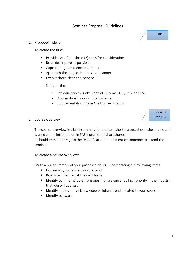1. Proposed Title (s)

To create the title:

- Provide two  $(2)$  or three  $(3)$  titles for consideration
- Be as descriptive as possible
- **Capture target audience attention**
- Approach the subject in a positive manner
- Keep it short, clear and concise

Sample Titles:

- Introduction to Brake Control Systems: ABS, TCS, and ESC
- Automotive Brake Control Systems
- Fundamentals of Brake Control Technology
- 2. Course Overview

The course overview is a brief summary (one or two short paragraphs) of the course and is used as the introduction in SAE's promotional brochures.

It should immediately grab the reader's attention and entice someone to attend the seminar.

To create a course overview:

Write a brief summary of your proposed course incorporating the following items:

- **Explain why someone should attend**
- $\blacksquare$  Briefly tell them what they will learn
- **If all identify common problems/ issues that are currently high priority in the industry** that you will address
- Identify cutting- edge knowledge or future trends related to your course
- **I** Identify software

1. Title

2. Course Overview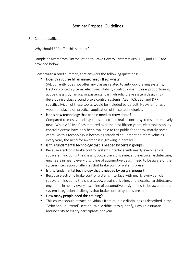3. Course Justification

Why should SAE offer this seminar?

Sample answers from "Introduction to Brake Control Systems: ABS, TCS, and ESC" are provided below:

Please write a brief summary that answers the following questions:

Does this course fill an unmet need? If so, what?

SAE currently does not offer any classes related to anti-lock braking systems, traction control systems, electronic stability control, dynamic rear proportioning, active chassis dynamics, or passenger car hydraulic brake system design. By developing a class around brake control systems (ABS, TCS, ESC, and DRP, specifically), all of these topics would be included by default. Heavy emphasis would be placed on practical application of these technologies.

■ Is this new technology that people need to know about? Compared to most vehicle systems, electronic brake control systems are relatively new. While ABS itself has matured over the past fifteen years, electronic stability control systems have only been available to the public for approximately seven years. As this technology is becoming standard equipment on more vehicles every year, the need for awareness is growing in parallel.

Is this fundamental technology that is needed by certain groups?

- **Because electronic brake control systems interface with nearly every vehicle** subsystem including the chassis, powertrain, driveline, and electrical architecture, engineers in nearly every discipline of automotive design need to be aware of the system integration challenges that brake control systems present.
- Is this fundamental technology that is needed by certain groups?
- **Because electronic brake control systems interface with nearly every vehicle** subsystem including the chassis, powertrain, driveline, and electrical architecture, engineers in nearly every discipline of automotive design need to be aware of the system integration challenges that brake control systems present.
- How many people need this training?
- This course should attract individuals from multiple disciplines as described in the "Who Should Attend" section. While difficult to quantify, I would estimate around sixty to eighty participants per year.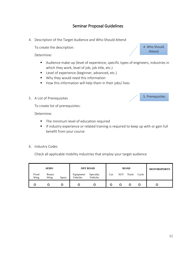4. Description of the Target Audience and Who Should Attend

To create the description:

Determine:

- Audience make-up (level of experience, specific types of engineers, industries in which they work, level of job, job title, etc.)
- Level of experience (beginner, advanced, etc.)
- Why they would need this information
- How this information will help them in their jobs/lives
- 5. A List of Prerequisites

To create list of prerequisites:

Determine:

- **The minimum level of education required**
- **If industry experience or related training is required to keep up with or gain full** benefit from your course
- 6. Industry Codes

Check all applicable mobility industries that employ your target audience

|               | <b>AERO</b>    |       |                        | <b>OFF ROAD</b>       |     |            | <b>ROAD</b> |       | <b>MOTORSPORTS</b> |
|---------------|----------------|-------|------------------------|-----------------------|-----|------------|-------------|-------|--------------------|
| Fixed<br>Wing | Rotary<br>Wing | Space | Equipment/<br>Vehicles | Specialty<br>Vehicles | Car | <b>SUV</b> | Truck       | Cycle |                    |
|               | O              |       |                        |                       |     |            |             |       |                    |

4. Who Should Attend

5. Prerequisites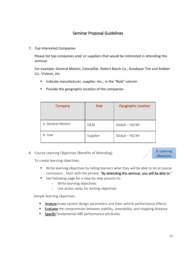7. Top Interested Companies

Please list top companies and/ or suppliers that would be interested in attending this seminar.

For example: General Motors, Caterpillar, Robert Bosch Co., Goodyear Tire and Rubber Co., Visteon, etc.

**IF Indicate manufacturer, supplier, etc., in the "Role" column** 

| Company           | Role     | <b>Geographic Location</b> |
|-------------------|----------|----------------------------|
| a. General Motors | OEM      | Global - HQ MI             |
| b. Lear           | Supplier | Global - HQ MI             |

**Provide the geographic location of the companies** 

8. Course Learning Objectives (Benefits of Attending)

8. Learning **Objectives** 

To create learning objectives:

- **Write learning objectives by telling learners what they will be able to do at course** conclusion… Start with the phrase: "By attending this seminar, you will be able to:"
- See following page for a step-by-step process to:
	- Write learning objectives
	- Use action verbs for writing objectives

Sample learning objectives:

- **Analyze** brake system design parameters and their vehicle performance effects
- **Evaluate** the compromises between stability, steerability, and stopping distance
- **Specify** fundamental ABS performance attributes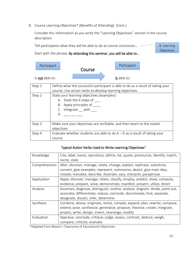8. Course Learning Objectives\* (Benefits of Attending) (Cont.)

Consider this information as you write the "Learning Objectives" section in the course description

Tell participants what they will be able to do at course conclusion… 8. Learning

Start with the phrase: By attending this seminar, you will be able to…

| Participant     | Course | Participant |  |
|-----------------|--------|-------------|--|
| Is not able to: |        | Is able to: |  |

| Step 1 | Define what the successful participant is able to do as a result of taking your                                               |  |  |  |
|--------|-------------------------------------------------------------------------------------------------------------------------------|--|--|--|
|        | course. Use action verbs to develop learning objectives.                                                                      |  |  |  |
| Step 2 | State your learning objectives (examples):<br>A. State the 4 steps of<br>B. Apply principles of<br>C. Integrate __ with<br>D. |  |  |  |
| Step 3 | Make sure your objectives are verifiable, and then teach to the stated<br>objectives                                          |  |  |  |
| Step 4 | Evaluate whether students are able to do $A - D$ as a result of taking your<br>course                                         |  |  |  |

#### Typical Action Verbs Used to Write Learning Objectives\*

| Knowledge     | Cite, label, name, reproduce, define, list, quote, pronounce, identify, match,  |  |  |  |  |
|---------------|---------------------------------------------------------------------------------|--|--|--|--|
|               | recite, state                                                                   |  |  |  |  |
| Comprehension | Alter, discover, manage, relate, change, explain, rephrase, substitute,         |  |  |  |  |
|               | convert, give examples, represent, summarize, depict, give main idea,           |  |  |  |  |
|               | restate, translate, describe, illustrate, vary, interpret, paraphrase           |  |  |  |  |
| Application   | Apply, discover, manage, relate, classify, employ, predict, show, compute,      |  |  |  |  |
|               | evidence, prepare, solve, demonstrate, manifest, present, utilize, direct       |  |  |  |  |
| Analysis      | Ascertain, diagnose, distinguish, outline, analyze, diagram, divide, point out, |  |  |  |  |
|               | associate, differentiate, reduce, conclude, discriminate, find, separate,       |  |  |  |  |
|               | designate, dissect, infer, determine                                            |  |  |  |  |
| Synthesis     | Combine, devise, originate, revise, compile, expand, plan, rewrite, compose,    |  |  |  |  |
|               | extend, pose, synthesize, generalize, propose, theorize, create, integrate,     |  |  |  |  |
|               | project, write, design, invent, rearrange, modify                               |  |  |  |  |
| Evaluation    | Appraise, conclude, critique, judge, assess, contrast, deduce, weigh,           |  |  |  |  |
|               | compare, criticize, evaluate                                                    |  |  |  |  |

\*Adapted from Bloom's Taxonomy of Educational Objectives

Objectives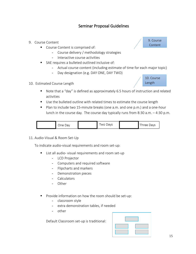- 9. Course Content
	- **Course Content is comprised of:** 
		- Course delivery / methodology strategies
		- Interactive course activities
	- SAE requires a bulleted outlined inclusive of:
		- Actual course content (including estimate of time for each major topic)
		- Day designation (e.g. DAY ONE, DAY TWO)
- 10. Estimated Course Length



9. Course Content

- Note that a "day" is defined as approximately 6.5 hours of instruction and related activities
- Use the bulleted outline with related times to estimate the course length
- Plan to include two 15-minute breaks (one a.m. and one p.m.) and a one-hour lunch in the course day. The course day typically runs from 8:30 a.m. – 4:30 p.m.

| One Dav | Two Davs |  | Three Davs |
|---------|----------|--|------------|
|---------|----------|--|------------|

11. Audio-Visual & Room Set-Up

To indicate audio-visual requirements and room set-up:

- **E** List all audio- visual requirements and room set-up
	- LCD Projector
	- Computers and required software
	- Flipcharts and markers
	- Demonstration pieces
	- Calculators
	- Other
- **Provide information on how the room should be set-up:** 
	- classroom style
	- extra demonstration tables, if needed
	- other

Default Classroom set-up is traditional: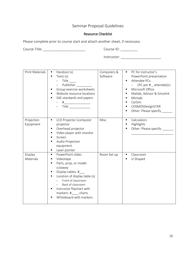## Resource Checklist

Please complete prior to course start and attach another sheet, if necessary.

Course Title: \_\_\_\_\_\_\_\_\_\_\_\_\_\_\_\_\_\_\_\_\_\_ Course ID: \_\_\_\_\_\_\_\_\_

Instructor: \_\_\_\_\_\_\_\_\_\_\_\_\_\_\_\_\_\_\_\_\_

| <b>Print Materials</b>  | Handout (s)<br>п<br>Texts (s)<br>Title<br>Publisher<br>Group exercise worksheets<br>$\blacksquare$<br>Website resource locations<br>SAE standards and papers<br>$\# \underbrace{\hspace*{1.5cm} \hspace*{1.5cm} }$<br>$\begin{picture}(25,20) \put(0,0){\dashbox{0.5}(5,0){ }} \thicklines \put(0,0){\dashbox{0.5}(5,0){ }} \thicklines \put(0,0){\dashbox{0.5}(5,0){ }} \thicklines \put(0,0){\dashbox{0.5}(5,0){ }} \thicklines \put(0,0){\dashbox{0.5}(5,0){ }} \thicklines \put(0,0){\dashbox{0.5}(5,0){ }} \thicklines \put(0,0){\dashbox{0.5}(5,0){ }} \thicklines \put(0,0){\dashbox{0.5}(5,0){ }} \thicklines \put(0,0){\dashbox{0.5}(5,$ | Computers &<br>Software | PC for instructor's<br>$\blacksquare$<br>PowerPoint presentation<br>Attendee PCs:<br>$\blacksquare$<br>1PC per $#$ _ attendee(s)<br>$ \,$<br>Microsoft Office<br>٠<br>Matlab, Advisor & Simulink<br>$\blacksquare$<br>Minitab<br>$\blacksquare$<br>CarSim<br>$\blacksquare$<br>COSMOSDesignSTAR<br>٠<br>Other: Please specify ___<br>٠ |
|-------------------------|---------------------------------------------------------------------------------------------------------------------------------------------------------------------------------------------------------------------------------------------------------------------------------------------------------------------------------------------------------------------------------------------------------------------------------------------------------------------------------------------------------------------------------------------------------------------------------------------------------------------------------------------------|-------------------------|----------------------------------------------------------------------------------------------------------------------------------------------------------------------------------------------------------------------------------------------------------------------------------------------------------------------------------------|
| Projection<br>Equipment | LCD Projector (computer<br>٠<br>projector<br>Overhead projector<br>٠<br>Video player with monitor<br>Screen<br>Audio Projection<br>$\blacksquare$<br>equipment<br>Laser pointer<br>٠                                                                                                                                                                                                                                                                                                                                                                                                                                                              | Misc.                   | Calculators<br>$\blacksquare$<br>Highlights<br>٠<br>Other: Please specify:<br>$\blacksquare$                                                                                                                                                                                                                                           |
| Display<br>Materials    | PowerPoint slides<br>$\blacksquare$<br>Videotape<br>٠<br>Parts, prop, or model<br>$\blacksquare$<br>cutaway<br>Display tables: #<br>Location of display table (s)<br>$\blacksquare$<br>Front of classroom<br>Back of classroom<br>Instructor flipchart with<br>٠<br>markers: # charts<br>Whiteboard with markers                                                                                                                                                                                                                                                                                                                                  | Room Set-up             | Classroom<br>٠<br>U-Shaped<br>$\blacksquare$                                                                                                                                                                                                                                                                                           |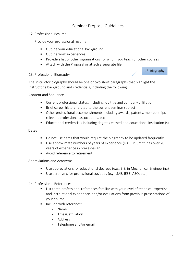#### 12. Professional Resume

Provide your professional resume:

- **Dutline your educational background**
- **•** Outline work experiences
- **Provide a list of other organizations for whom you teach or other courses**
- Attach with the Proposal or attach a separate file

#### 13. Professional Biography

13. Biography

The instructor biography should be one or two short paragraphs that highlight the instructor's background and credentials, including the following

Content and Sequence

- Current professional status, including job title and company affiliation
- **Brief career history related to the current seminar subject**
- Other professional accomplishments including awards, patents, memberships in relevant professional associations, etc.
- Educational credentials including degrees earned and educational institution (s)

Dates

- Do not use dates that would require the biography to be updated frequently
- Use approximate numbers of years of experience (e.g., Dr. Smith has over 20 years of experience in brake design)
- **Avoid reference to retirement**

Abbreviations and Acronyms:

- Use abbreviations for educational degrees (e.g., B.S. in Mechanical Engineering)
- Use acronyms for professional societies (e.g., SAE, IEEE, ASQ, etc.)
- 14. Professional References
	- List three professional references familiar with your level of technical expertise and instructional experience, and/or evaluations from previous presentations of your course
	- **Include with reference:** 
		- Name
		- Title & affiliation
		- Address
		- Telephone and/or email